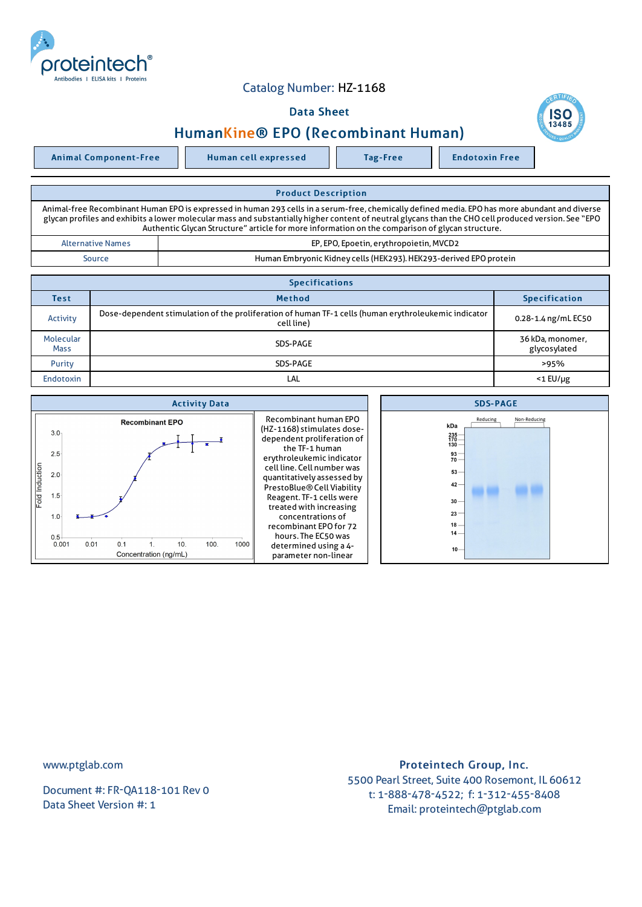

## Catalog Number: HZ-1168

## Data Sheet

## HumanKine® EPO (Recombinant Human)



| <b>Product Description</b>                                                                                                                                                                                                                                                                                                                                                                                |                                                                   |  |  |  |
|-----------------------------------------------------------------------------------------------------------------------------------------------------------------------------------------------------------------------------------------------------------------------------------------------------------------------------------------------------------------------------------------------------------|-------------------------------------------------------------------|--|--|--|
| Animal-free Recombinant Human EPO is expressed in human 293 cells in a serum-free, chemically defined media. EPO has more abundant and diverse<br>glycan profiles and exhibits a lower molecular mass and substantially higher content of neutral glycans than the CHO cell produced version. See "EPO<br>Authentic Glycan Structure" article for more information on the comparison of glycan structure. |                                                                   |  |  |  |
| <b>Alternative Names</b>                                                                                                                                                                                                                                                                                                                                                                                  | EP, EPO, Epoetin, erythropoietin, MVCD2                           |  |  |  |
| Source                                                                                                                                                                                                                                                                                                                                                                                                    | Human Embryonic Kidney cells (HEK293). HEK293-derived EPO protein |  |  |  |

| <b>Specifications</b>    |                                                                                                                    |                                  |  |  |  |
|--------------------------|--------------------------------------------------------------------------------------------------------------------|----------------------------------|--|--|--|
| Test                     | <b>Method</b>                                                                                                      | <b>Specification</b>             |  |  |  |
| Activity                 | Dose-dependent stimulation of the proliferation of human TF-1 cells (human erythroleukemic indicator<br>cell line) | 0.28-1.4 ng/mL EC50              |  |  |  |
| Molecular<br><b>Mass</b> | SDS-PAGE                                                                                                           | 36 kDa, monomer,<br>glycosylated |  |  |  |
| Purity                   | SDS-PAGE                                                                                                           | >95%                             |  |  |  |
| <b>Endotoxin</b>         | LAL                                                                                                                | $<$ 1 EU/µg                      |  |  |  |



www.ptglab.com

Document #: FR-QA118-101 Rev 0 Data Sheet Version #: 1

## Proteintech Group, Inc. 5500 Pearl Street, Suite 400 Rosemont, IL 60612 t: 1-888-478-4522; f: 1-312-455-8408 Email: proteintech@ptglab.com

**SC**